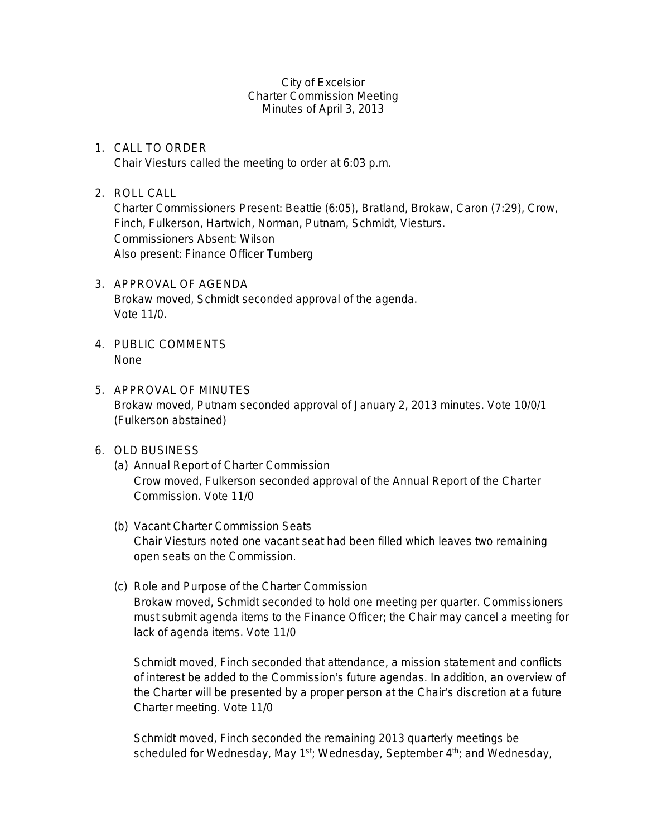City of Excelsior Charter Commission Meeting Minutes of April 3, 2013

- 1. CALL TO ORDER Chair Viesturs called the meeting to order at 6:03 p.m.
- 2. ROLL CALL

Charter Commissioners Present: Beattie (6:05), Bratland, Brokaw, Caron (7:29), Crow, Finch, Fulkerson, Hartwich, Norman, Putnam, Schmidt, Viesturs. Commissioners Absent: Wilson Also present: Finance Officer Tumberg

- 3. APPROVAL OF AGENDA Brokaw moved, Schmidt seconded approval of the agenda. Vote 11/0.
- 4. PUBLIC COMMENTS None
- 5. APPROVAL OF MINUTES Brokaw moved, Putnam seconded approval of January 2, 2013 minutes. Vote 10/0/1 (Fulkerson abstained)
- 6. OLD BUSINESS
	- (a) Annual Report of Charter Commission Crow moved, Fulkerson seconded approval of the Annual Report of the Charter Commission. Vote 11/0
	- (b) Vacant Charter Commission Seats Chair Viesturs noted one vacant seat had been filled which leaves two remaining open seats on the Commission.
	- (c) Role and Purpose of the Charter Commission Brokaw moved, Schmidt seconded to hold one meeting per quarter. Commissioners must submit agenda items to the Finance Officer; the Chair may cancel a meeting for lack of agenda items. Vote 11/0

Schmidt moved, Finch seconded that attendance, a mission statement and conflicts of interest be added to the Commission's future agendas. In addition, an overview of the Charter will be presented by a proper person at the Chair's discretion at a future Charter meeting. Vote 11/0

Schmidt moved, Finch seconded the remaining 2013 quarterly meetings be scheduled for Wednesday, May 1<sup>st</sup>; Wednesday, September 4<sup>th</sup>; and Wednesday,